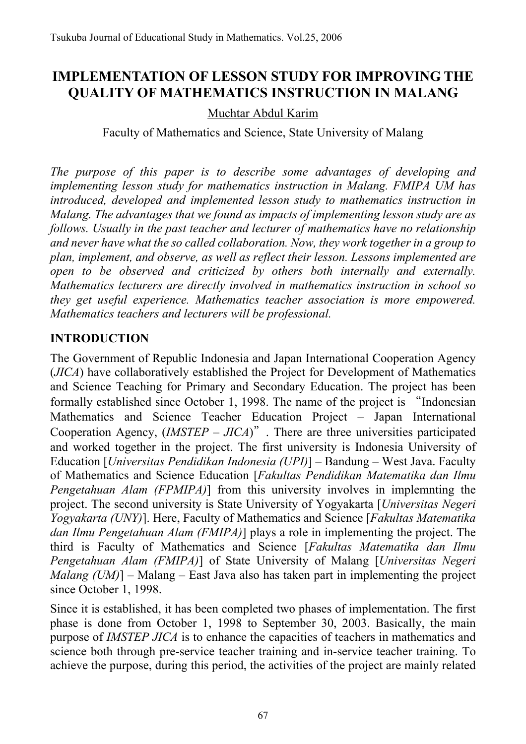# **IMPLEMENTATION OF LESSON STUDY FOR IMPROVING THE QUALITY OF MATHEMATICS INSTRUCTION IN MALANG**

### Muchtar Abdul Karim

Faculty of Mathematics and Science, State University of Malang

*The purpose of this paper is to describe some advantages of developing and implementing lesson study for mathematics instruction in Malang. FMIPA UM has introduced, developed and implemented lesson study to mathematics instruction in Malang. The advantages that we found as impacts of implementing lesson study are as follows. Usually in the past teacher and lecturer of mathematics have no relationship and never have what the so called collaboration. Now, they work together in a group to plan, implement, and observe, as well as reflect their lesson. Lessons implemented are open to be observed and criticized by others both internally and externally. Mathematics lecturers are directly involved in mathematics instruction in school so they get useful experience. Mathematics teacher association is more empowered. Mathematics teachers and lecturers will be professional.* 

### **INTRODUCTION**

The Government of Republic Indonesia and Japan International Cooperation Agency (*JICA*) have collaboratively established the Project for Development of Mathematics and Science Teaching for Primary and Secondary Education. The project has been formally established since October 1, 1998. The name of the project is "Indonesian Mathematics and Science Teacher Education Project – Japan International Cooperation Agency,  $(MSTEP - JICA)^{n}$ . There are three universities participated and worked together in the project. The first university is Indonesia University of Education [*Universitas Pendidikan Indonesia (UPI)*] – Bandung – West Java. Faculty of Mathematics and Science Education [*Fakultas Pendidikan Matematika dan Ilmu Pengetahuan Alam (FPMIPA)*] from this university involves in implemnting the project. The second university is State University of Yogyakarta [*Universitas Negeri Yogyakarta (UNY)*]. Here, Faculty of Mathematics and Science [*Fakultas Matematika dan Ilmu Pengetahuan Alam (FMIPA)*] plays a role in implementing the project. The third is Faculty of Mathematics and Science [*Fakultas Matematika dan Ilmu Pengetahuan Alam (FMIPA)*] of State University of Malang [*Universitas Negeri Malang (UM)*] – Malang – East Java also has taken part in implementing the project since October 1, 1998.

Since it is established, it has been completed two phases of implementation. The first phase is done from October 1, 1998 to September 30, 2003. Basically, the main purpose of *IMSTEP JICA* is to enhance the capacities of teachers in mathematics and science both through pre-service teacher training and in-service teacher training. To achieve the purpose, during this period, the activities of the project are mainly related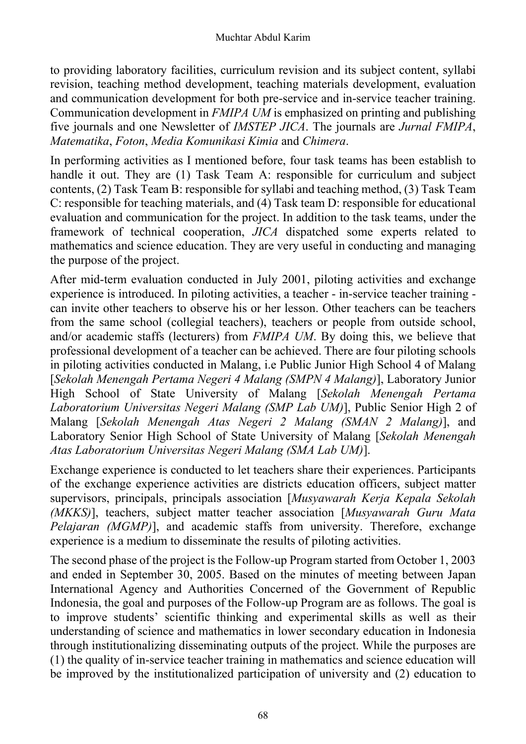to providing laboratory facilities, curriculum revision and its subject content, syllabi revision, teaching method development, teaching materials development, evaluation and communication development for both pre-service and in-service teacher training. Communication development in *FMIPA UM* is emphasized on printing and publishing five journals and one Newsletter of *IMSTEP JICA*. The journals are *Jurnal FMIPA*, *Matematika*, *Foton*, *Media Komunikasi Kimia* and *Chimera*.

In performing activities as I mentioned before, four task teams has been establish to handle it out. They are (1) Task Team A: responsible for curriculum and subject contents, (2) Task Team B: responsible for syllabi and teaching method, (3) Task Team C: responsible for teaching materials, and (4) Task team D: responsible for educational evaluation and communication for the project. In addition to the task teams, under the framework of technical cooperation, *JICA* dispatched some experts related to mathematics and science education. They are very useful in conducting and managing the purpose of the project.

After mid-term evaluation conducted in July 2001, piloting activities and exchange experience is introduced. In piloting activities, a teacher - in-service teacher training can invite other teachers to observe his or her lesson. Other teachers can be teachers from the same school (collegial teachers), teachers or people from outside school, and/or academic staffs (lecturers) from *FMIPA UM*. By doing this, we believe that professional development of a teacher can be achieved. There are four piloting schools in piloting activities conducted in Malang, i.e Public Junior High School 4 of Malang [*Sekolah Menengah Pertama Negeri 4 Malang (SMPN 4 Malang)*], Laboratory Junior High School of State University of Malang [*Sekolah Menengah Pertama Laboratorium Universitas Negeri Malang (SMP Lab UM)*], Public Senior High 2 of Malang [*Sekolah Menengah Atas Negeri 2 Malang (SMAN 2 Malang)*], and Laboratory Senior High School of State University of Malang [*Sekolah Menengah Atas Laboratorium Universitas Negeri Malang (SMA Lab UM)*].

Exchange experience is conducted to let teachers share their experiences. Participants of the exchange experience activities are districts education officers, subject matter supervisors, principals, principals association [*Musyawarah Kerja Kepala Sekolah (MKKS)*], teachers, subject matter teacher association [*Musyawarah Guru Mata Pelajaran (MGMP)*], and academic staffs from university. Therefore, exchange experience is a medium to disseminate the results of piloting activities.

The second phase of the project is the Follow-up Program started from October 1, 2003 and ended in September 30, 2005. Based on the minutes of meeting between Japan International Agency and Authorities Concerned of the Government of Republic Indonesia, the goal and purposes of the Follow-up Program are as follows. The goal is to improve students' scientific thinking and experimental skills as well as their understanding of science and mathematics in lower secondary education in Indonesia through institutionalizing disseminating outputs of the project. While the purposes are (1) the quality of in-service teacher training in mathematics and science education will be improved by the institutionalized participation of university and (2) education to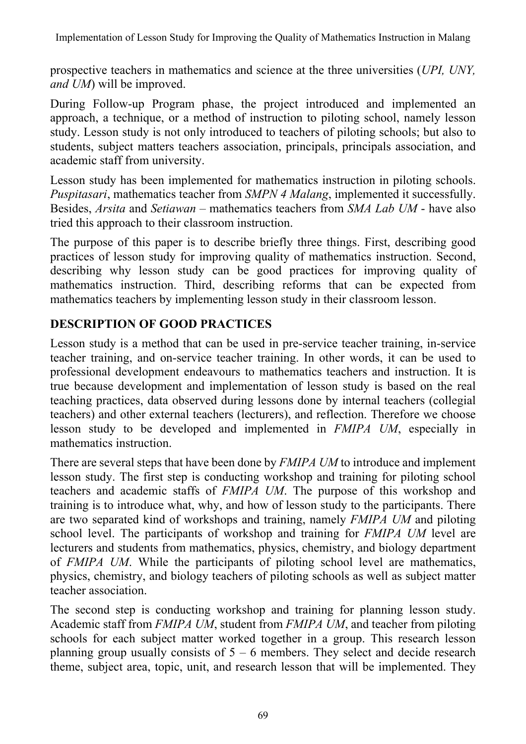prospective teachers in mathematics and science at the three universities (*UPI, UNY, and UM*) will be improved.

During Follow-up Program phase, the project introduced and implemented an approach, a technique, or a method of instruction to piloting school, namely lesson study. Lesson study is not only introduced to teachers of piloting schools; but also to students, subject matters teachers association, principals, principals association, and academic staff from university.

Lesson study has been implemented for mathematics instruction in piloting schools. *Puspitasari*, mathematics teacher from *SMPN 4 Malang*, implemented it successfully. Besides, *Arsita* and *Setiawan* – mathematics teachers from *SMA Lab UM* - have also tried this approach to their classroom instruction.

The purpose of this paper is to describe briefly three things. First, describing good practices of lesson study for improving quality of mathematics instruction. Second, describing why lesson study can be good practices for improving quality of mathematics instruction. Third, describing reforms that can be expected from mathematics teachers by implementing lesson study in their classroom lesson.

### **DESCRIPTION OF GOOD PRACTICES**

Lesson study is a method that can be used in pre-service teacher training, in-service teacher training, and on-service teacher training. In other words, it can be used to professional development endeavours to mathematics teachers and instruction. It is true because development and implementation of lesson study is based on the real teaching practices, data observed during lessons done by internal teachers (collegial teachers) and other external teachers (lecturers), and reflection. Therefore we choose lesson study to be developed and implemented in *FMIPA UM*, especially in mathematics instruction.

There are several steps that have been done by *FMIPA UM* to introduce and implement lesson study. The first step is conducting workshop and training for piloting school teachers and academic staffs of *FMIPA UM*. The purpose of this workshop and training is to introduce what, why, and how of lesson study to the participants. There are two separated kind of workshops and training, namely *FMIPA UM* and piloting school level. The participants of workshop and training for *FMIPA UM* level are lecturers and students from mathematics, physics, chemistry, and biology department of *FMIPA UM*. While the participants of piloting school level are mathematics, physics, chemistry, and biology teachers of piloting schools as well as subject matter teacher association.

The second step is conducting workshop and training for planning lesson study. Academic staff from *FMIPA UM*, student from *FMIPA UM*, and teacher from piloting schools for each subject matter worked together in a group. This research lesson planning group usually consists of  $5 - 6$  members. They select and decide research theme, subject area, topic, unit, and research lesson that will be implemented. They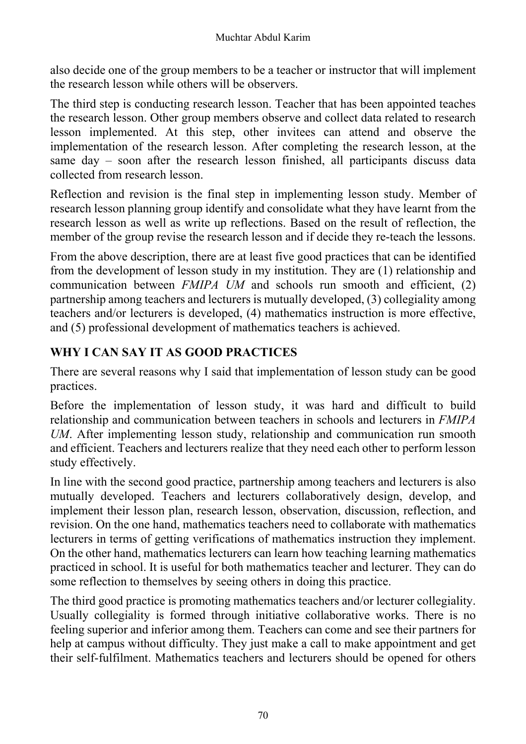also decide one of the group members to be a teacher or instructor that will implement the research lesson while others will be observers.

The third step is conducting research lesson. Teacher that has been appointed teaches the research lesson. Other group members observe and collect data related to research lesson implemented. At this step, other invitees can attend and observe the implementation of the research lesson. After completing the research lesson, at the same day – soon after the research lesson finished, all participants discuss data collected from research lesson.

Reflection and revision is the final step in implementing lesson study. Member of research lesson planning group identify and consolidate what they have learnt from the research lesson as well as write up reflections. Based on the result of reflection, the member of the group revise the research lesson and if decide they re-teach the lessons.

From the above description, there are at least five good practices that can be identified from the development of lesson study in my institution. They are (1) relationship and communication between *FMIPA UM* and schools run smooth and efficient, (2) partnership among teachers and lecturers is mutually developed, (3) collegiality among teachers and/or lecturers is developed, (4) mathematics instruction is more effective, and (5) professional development of mathematics teachers is achieved.

## **WHY I CAN SAY IT AS GOOD PRACTICES**

There are several reasons why I said that implementation of lesson study can be good practices.

Before the implementation of lesson study, it was hard and difficult to build relationship and communication between teachers in schools and lecturers in *FMIPA UM*. After implementing lesson study, relationship and communication run smooth and efficient. Teachers and lecturers realize that they need each other to perform lesson study effectively.

In line with the second good practice, partnership among teachers and lecturers is also mutually developed. Teachers and lecturers collaboratively design, develop, and implement their lesson plan, research lesson, observation, discussion, reflection, and revision. On the one hand, mathematics teachers need to collaborate with mathematics lecturers in terms of getting verifications of mathematics instruction they implement. On the other hand, mathematics lecturers can learn how teaching learning mathematics practiced in school. It is useful for both mathematics teacher and lecturer. They can do some reflection to themselves by seeing others in doing this practice.

The third good practice is promoting mathematics teachers and/or lecturer collegiality. Usually collegiality is formed through initiative collaborative works. There is no feeling superior and inferior among them. Teachers can come and see their partners for help at campus without difficulty. They just make a call to make appointment and get their self-fulfilment. Mathematics teachers and lecturers should be opened for others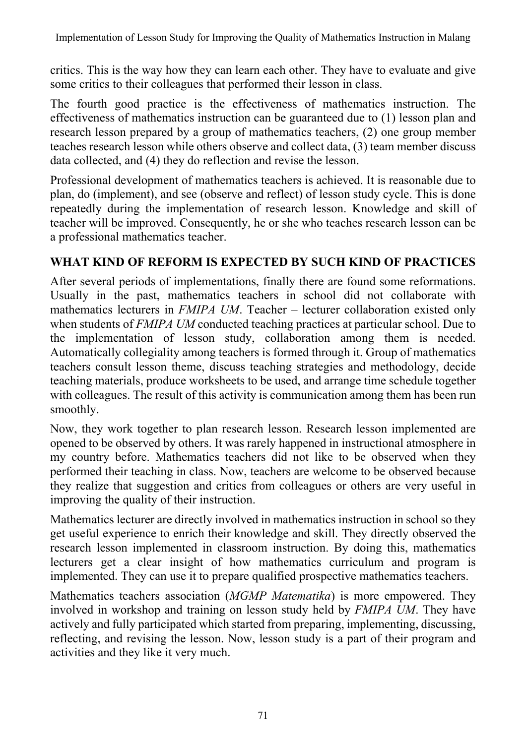critics. This is the way how they can learn each other. They have to evaluate and give some critics to their colleagues that performed their lesson in class.

The fourth good practice is the effectiveness of mathematics instruction. The effectiveness of mathematics instruction can be guaranteed due to (1) lesson plan and research lesson prepared by a group of mathematics teachers, (2) one group member teaches research lesson while others observe and collect data, (3) team member discuss data collected, and (4) they do reflection and revise the lesson.

Professional development of mathematics teachers is achieved. It is reasonable due to plan, do (implement), and see (observe and reflect) of lesson study cycle. This is done repeatedly during the implementation of research lesson. Knowledge and skill of teacher will be improved. Consequently, he or she who teaches research lesson can be a professional mathematics teacher.

### **WHAT KIND OF REFORM IS EXPECTED BY SUCH KIND OF PRACTICES**

After several periods of implementations, finally there are found some reformations. Usually in the past, mathematics teachers in school did not collaborate with mathematics lecturers in *FMIPA UM*. Teacher – lecturer collaboration existed only when students of *FMIPA UM* conducted teaching practices at particular school. Due to the implementation of lesson study, collaboration among them is needed. Automatically collegiality among teachers is formed through it. Group of mathematics teachers consult lesson theme, discuss teaching strategies and methodology, decide teaching materials, produce worksheets to be used, and arrange time schedule together with colleagues. The result of this activity is communication among them has been run smoothly.

Now, they work together to plan research lesson. Research lesson implemented are opened to be observed by others. It was rarely happened in instructional atmosphere in my country before. Mathematics teachers did not like to be observed when they performed their teaching in class. Now, teachers are welcome to be observed because they realize that suggestion and critics from colleagues or others are very useful in improving the quality of their instruction.

Mathematics lecturer are directly involved in mathematics instruction in school so they get useful experience to enrich their knowledge and skill. They directly observed the research lesson implemented in classroom instruction. By doing this, mathematics lecturers get a clear insight of how mathematics curriculum and program is implemented. They can use it to prepare qualified prospective mathematics teachers.

Mathematics teachers association (*MGMP Matematika*) is more empowered. They involved in workshop and training on lesson study held by *FMIPA UM*. They have actively and fully participated which started from preparing, implementing, discussing, reflecting, and revising the lesson. Now, lesson study is a part of their program and activities and they like it very much.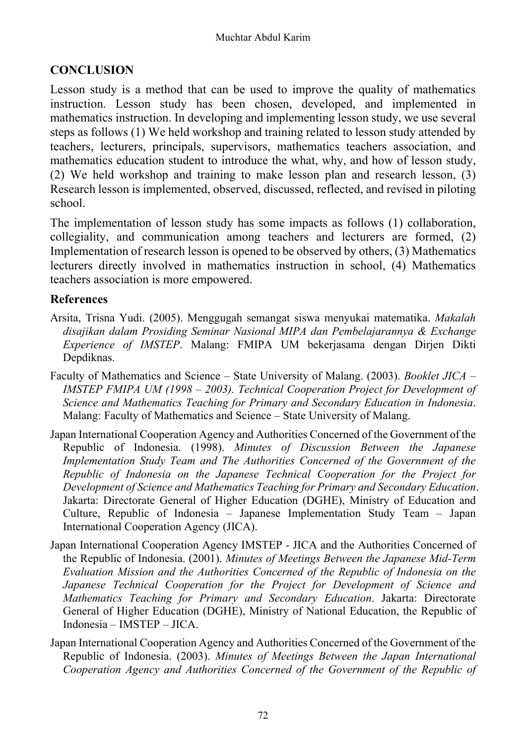#### **CONCLUSION**

Lesson study is a method that can be used to improve the quality of mathematics instruction. Lesson study has been chosen, developed, and implemented in mathematics instruction. In developing and implementing lesson study, we use several steps as follows (1) We held workshop and training related to lesson study attended by teachers, lecturers, principals, supervisors, mathematics teachers association, and mathematics education student to introduce the what, why, and how of lesson study, (2) We held workshop and training to make lesson plan and research lesson, (3) Research lesson is implemented, observed, discussed, reflected, and revised in piloting school.

The implementation of lesson study has some impacts as follows (1) collaboration, collegiality, and communication among teachers and lecturers are formed, (2) Implementation of research lesson is opened to be observed by others, (3) Mathematics lecturers directly involved in mathematics instruction in school, (4) Mathematics teachers association is more empowered.

#### **References**

- Arsita, Trisna Yudi. (2005). Menggugah semangat siswa menyukai matematika. *Makalah disajikan dalam Prosiding Seminar Nasional MIPA dan Pembelajarannya & Exchange Experience of IMSTEP*. Malang: FMIPA UM bekerjasama dengan Dirjen Dikti Depdiknas.
- Faculty of Mathematics and Science State University of Malang. (2003). *Booklet JICA IMSTEP FMIPA UM (1998 – 2003). Technical Cooperation Project for Development of Science and Mathematics Teaching for Primary and Secondary Education in Indonesia*. Malang: Faculty of Mathematics and Science – State University of Malang.
- Japan International Cooperation Agency and Authorities Concerned of the Government of the Republic of Indonesia. (1998). *Minutes of Discussion Between the Japanese Implementation Study Team and The Authorities Concerned of the Government of the Republic of Indonesia on the Japanese Technical Cooperation for the Project for Development of Science and Mathematics Teaching for Primary and Secondary Education*. Jakarta: Directorate General of Higher Education (DGHE), Ministry of Education and Culture, Republic of Indonesia – Japanese Implementation Study Team – Japan International Cooperation Agency (JICA).
- Japan International Cooperation Agency IMSTEP JICA and the Authorities Concerned of the Republic of Indonesia. (2001). *Minutes of Meetings Between the Japanese Mid-Term Evaluation Mission and the Authorities Concerned of the Republic of Indonesia on the Japanese Technical Cooperation for the Project for Development of Science and Mathematics Teaching for Primary and Secondary Education*. Jakarta: Directorate General of Higher Education (DGHE), Ministry of National Education, the Republic of Indonesia – IMSTEP – JICA.
- Japan International Cooperation Agency and Authorities Concerned of the Government of the Republic of Indonesia. (2003). *Minutes of Meetings Between the Japan International Cooperation Agency and Authorities Concerned of the Government of the Republic of*